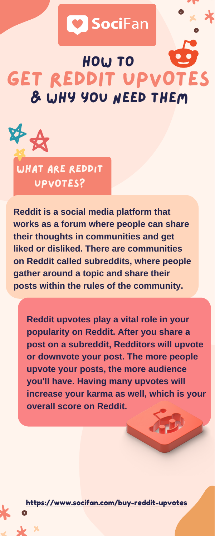

# **O** SociFan

### GET REDDIT UPVOTES How to & Why you need them



**Reddit upvotes play a vital role in your**

**popularity on Reddit. After you share a post on a subreddit, Redditors will upvote or downvote your post. The more people upvote your posts, the more audience you'll have. Having many upvotes will increase your karma as well, which is your overall score on Reddit.**

**Reddit is a social media platform that works as a forum where people can share their thoughts in communities and get liked or disliked. There are communities on Reddit called subreddits, where people gather around a topic and share their posts within the rules of the community.**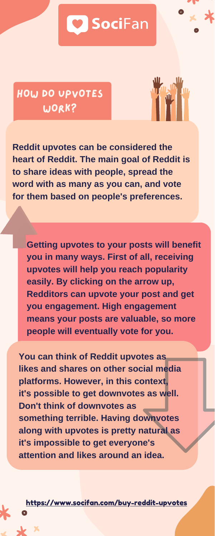<https://www.socifan.com/buy-reddit-upvotes>



HOW DO UPVOTES WORK?



**Getting upvotes to your posts will benefit you in many ways. First of all, receiving upvotes will help you reach popularity easily. By clicking on the arrow up, Redditors can upvote your post and get you engagement. High engagement means your posts are valuable, so more people will eventually vote for you.**

**Reddit upvotes can be considered the heart of Reddit. The main goal of Reddit is to share ideas with people, spread the word with as many as you can, and vote for them based on people's preferences.**

**You can think of Reddit upvotes as likes and shares on other social media platforms. However, in this context, it's possible to get downvotes as well. Don't think of downvotes as something terrible. Having downvotes along with upvotes is pretty natural as it's impossible to get everyone's attention and likes around an idea.**

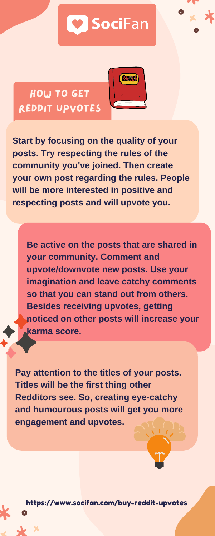<https://www.socifan.com/buy-reddit-upvotes>



HOW TO GET reddıt upvotes



**Be active on the posts that are shared in your community. Comment and upvote/downvote new posts. Use your imagination and leave catchy comments so that you can stand out from others. Besides receiving upvotes, getting noticed on other posts will increase your**

### **karma score.**

**Start by focusing on the quality of your posts. Try respecting the rules of the community you've joined. Then create your own post regarding the rules. People will be more interested in positive and respecting posts and will upvote you.**

**Pay attention to the titles of your posts. Titles will be the first thing other Redditors see. So, creating eye-catchy and humourous posts will get you more engagement and upvotes.**

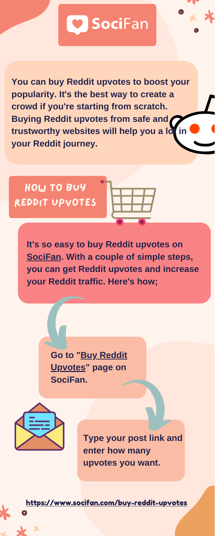**Go to "Buy Reddit [Upvotes"](https://www.socifan.com/buy-reddit-upvotes) page on SociFan.**





**It's so easy to buy Reddit upvotes on [SociFan](https://www.socifan.com/). With a couple of simple steps, you can get Reddit upvotes and increase your Reddit traffic. Here's how;**

# **O** SociFan

**You can buy Reddit upvotes to boost your popularity. It's the best way to create a crowd if you're starting from scratch. Buying Reddit upvotes from safe and trustworthy websites will help you a lot in your Reddit journey.**

how to buy reddıt upvotes



**Type your post link and enter how many upvotes you want.**